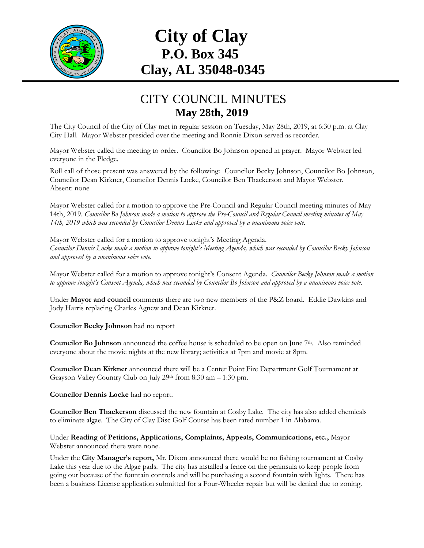

## **City of Clay P.O. Box 345 Clay, AL 35048-0345**

## CITY COUNCIL MINUTES **May 28th, 2019**

The City Council of the City of Clay met in regular session on Tuesday, May 28th, 2019, at 6:30 p.m. at Clay City Hall. Mayor Webster presided over the meeting and Ronnie Dixon served as recorder.

Mayor Webster called the meeting to order. Councilor Bo Johnson opened in prayer. Mayor Webster led everyone in the Pledge.

Roll call of those present was answered by the following: Councilor Becky Johnson, Councilor Bo Johnson, Councilor Dean Kirkner, Councilor Dennis Locke, Councilor Ben Thackerson and Mayor Webster. Absent: none

Mayor Webster called for a motion to approve the Pre-Council and Regular Council meeting minutes of May 14th, 2019. *Councilor Bo Johnson made a motion to approve the Pre-Council and Regular Council meeting minutes of May 14th, 2019 which was seconded by Councilor Dennis Locke and approved by a unanimous voice vote.*

Mayor Webster called for a motion to approve tonight's Meeting Agenda. *Councilor Dennis Locke made a motion to approve tonight's Meeting Agenda, which was seconded by Councilor Becky Johnson and approved by a unanimous voice vote.*

Mayor Webster called for a motion to approve tonight's Consent Agenda. *Councilor Becky Johnson made a motion to approve tonight's Consent Agenda, which was seconded by Councilor Bo Johnson and approved by a unanimous voice vote.*

Under **Mayor and council** comments there are two new members of the P&Z board. Eddie Dawkins and Jody Harris replacing Charles Agnew and Dean Kirkner.

**Councilor Becky Johnson** had no report

**Councilor Bo Johnson** announced the coffee house is scheduled to be open on June  $7<sup>th</sup>$ . Also reminded everyone about the movie nights at the new library; activities at 7pm and movie at 8pm.

**Councilor Dean Kirkner** announced there will be a Center Point Fire Department Golf Tournament at Grayson Valley Country Club on July 29th from 8:30 am – 1:30 pm.

**Councilor Dennis Locke** had no report.

**Councilor Ben Thackerson** discussed the new fountain at Cosby Lake. The city has also added chemicals to eliminate algae. The City of Clay Disc Golf Course has been rated number 1 in Alabama.

Under **Reading of Petitions, Applications, Complaints, Appeals, Communications, etc.,** Mayor Webster announced there were none.

Under the **City Manager's report,** Mr. Dixon announced there would be no fishing tournament at Cosby Lake this year due to the Algae pads. The city has installed a fence on the peninsula to keep people from going out because of the fountain controls and will be purchasing a second fountain with lights. There has been a business License application submitted for a Four-Wheeler repair but will be denied due to zoning.